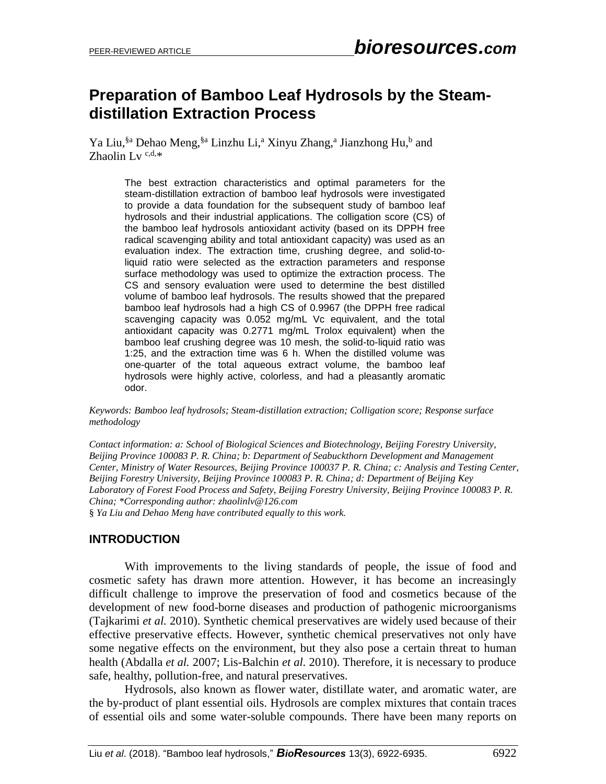# **Preparation of Bamboo Leaf Hydrosols by the Steamdistillation Extraction Process**

Ya Liu,<sup>§a</sup> Dehao Meng,<sup>§a</sup> Linzhu Li,<sup>a</sup> Xinyu Zhang,<sup>a</sup> Jianzhong Hu,<sup>b</sup> and Zhaolin Lv<sup>c,d,\*</sup>

> The best extraction characteristics and optimal parameters for the steam-distillation extraction of bamboo leaf hydrosols were investigated to provide a data foundation for the subsequent study of bamboo leaf hydrosols and their industrial applications. The colligation score (CS) of the bamboo leaf hydrosols antioxidant activity (based on its DPPH free radical scavenging ability and total antioxidant capacity) was used as an evaluation index. The extraction time, crushing degree, and solid-toliquid ratio were selected as the extraction parameters and response surface methodology was used to optimize the extraction process. The CS and sensory evaluation were used to determine the best distilled volume of bamboo leaf hydrosols. The results showed that the prepared bamboo leaf hydrosols had a high CS of 0.9967 (the DPPH free radical scavenging capacity was 0.052 mg/mL Vc equivalent, and the total antioxidant capacity was 0.2771 mg/mL Trolox equivalent) when the bamboo leaf crushing degree was 10 mesh, the solid-to-liquid ratio was 1:25, and the extraction time was 6 h. When the distilled volume was one-quarter of the total aqueous extract volume, the bamboo leaf hydrosols were highly active, colorless, and had a pleasantly aromatic odor.

*Keywords: Bamboo leaf hydrosols; Steam-distillation extraction; Colligation score; Response surface methodology*

*Contact information: a: School of Biological Sciences and Biotechnology, Beijing Forestry University, Beijing Province 100083 P. R. China; b: Department of Seabuckthorn Development and Management Center, Ministry of Water Resources, Beijing Province 100037 P. R. China; c: Analysis and Testing Center, Beijing Forestry University, Beijing Province 100083 P. R. China; d: Department of Beijing Key Laboratory of Forest Food Process and Safety, Beijing Forestry University, Beijing Province 100083 P. R. China; \*Corresponding author: zhaolinlv@126.com* § *Ya Liu and Dehao Meng have contributed equally to this work.*

**INTRODUCTION**

With improvements to the living standards of people, the issue of food and cosmetic safety has drawn more attention. However, it has become an increasingly difficult challenge to improve the preservation of food and cosmetics because of the development of new food-borne diseases and production of pathogenic microorganisms (Tajkarimi *et al.* 2010). Synthetic chemical preservatives are widely used because of their effective preservative effects. However, synthetic chemical preservatives not only have some negative effects on the environment, but they also pose a certain threat to human health (Abdalla *et al.* 2007; Lis-Balchin *et al.* 2010). Therefore, it is necessary to produce safe, healthy, pollution-free, and natural preservatives.

Hydrosols, also known as flower water, distillate water, and aromatic water, are the by-product of plant essential oils. Hydrosols are complex mixtures that contain traces of essential oils and some water-soluble compounds. There have been many reports on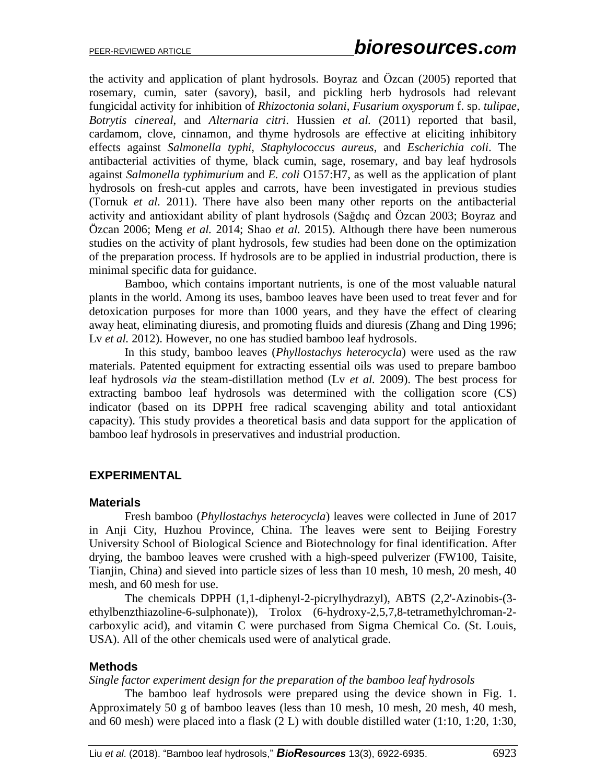the activity and application of plant hydrosols. Boyraz and Özcan (2005) reported that rosemary, cumin, sater (savory), basil, and pickling herb hydrosols had relevant fungicidal activity for inhibition of *Rhizoctonia solani*, *Fusarium oxysporum* f. sp. *tulipae*, *Botrytis cinereal*, and *Alternaria citri*. Hussien *et al.* (2011) reported that basil, cardamom, clove, cinnamon, and thyme hydrosols are effective at eliciting inhibitory effects against *Salmonella typhi*, *Staphylococcus aureus*, and *Escherichia coli*. The antibacterial activities of thyme, black cumin, sage, rosemary, and bay leaf hydrosols against *Salmonella typhimurium* and *E. coli* O157:H7, as well as the application of plant hydrosols on fresh-cut apples and carrots, have been investigated in previous studies (Tornuk *et al.* 2011). There have also been many other reports on the antibacterial activity and antioxidant ability of plant hydrosols (Saǧdıç and Özcan 2003; Boyraz and Özcan 2006; Meng *et al.* 2014; Shao *et al.* 2015). Although there have been numerous studies on the activity of plant hydrosols, few studies had been done on the optimization of the preparation process. If hydrosols are to be applied in industrial production, there is minimal specific data for guidance.

Bamboo, which contains important nutrients, is one of the most valuable natural plants in the world. Among its uses, bamboo leaves have been used to treat fever and for detoxication purposes for more than 1000 years, and they have the effect of clearing away heat, eliminating diuresis, and promoting fluids and diuresis (Zhang and Ding 1996; Lv *et al.* 2012). However, no one has studied bamboo leaf hydrosols.

In this study, bamboo leaves (*Phyllostachys heterocycla*) were used as the raw materials. Patented equipment for extracting essential oils was used to prepare bamboo leaf hydrosols *via* the steam-distillation method (Lv *et al.* 2009). The best process for extracting bamboo leaf hydrosols was determined with the colligation score (CS) indicator (based on its DPPH free radical scavenging ability and total antioxidant capacity). This study provides a theoretical basis and data support for the application of bamboo leaf hydrosols in preservatives and industrial production.

# **EXPERIMENTAL**

### **Materials**

Fresh bamboo (*Phyllostachys heterocycla*) leaves were collected in June of 2017 in Anji City, Huzhou Province, China. The leaves were sent to Beijing Forestry University School of Biological Science and Biotechnology for final identification. After drying, the bamboo leaves were crushed with a high-speed pulverizer (FW100, Taisite, Tianjin, China) and sieved into particle sizes of less than 10 mesh, 10 mesh, 20 mesh, 40 mesh, and 60 mesh for use.

The chemicals DPPH (1,1-diphenyl-2-picrylhydrazyl), ABTS (2,2'-Azinobis-(3 ethylbenzthiazoline-6-sulphonate)), Trolox (6-hydroxy-2,5,7,8-tetramethylchroman-2 carboxylic acid), and vitamin C were purchased from Sigma Chemical Co. (St. Louis, USA). All of the other chemicals used were of analytical grade.

# **Methods**

*Single factor experiment design for the preparation of the bamboo leaf hydrosols*

The bamboo leaf hydrosols were prepared using the device shown in Fig. 1. Approximately 50 g of bamboo leaves (less than 10 mesh, 10 mesh, 20 mesh, 40 mesh, and 60 mesh) were placed into a flask (2 L) with double distilled water (1:10, 1:20, 1:30,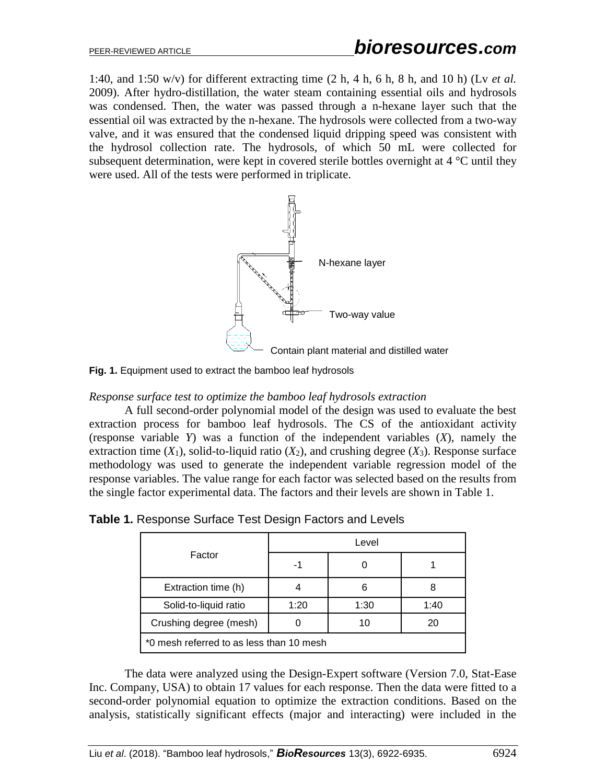1:40, and 1:50 w/v) for different extracting time (2 h, 4 h, 6 h, 8 h, and 10 h) (Lv *et al.* 2009). After hydro-distillation, the water steam containing essential oils and hydrosols was condensed. Then, the water was passed through a n-hexane layer such that the essential oil was extracted by the n-hexane. The hydrosols were collected from a two-way valve, and it was ensured that the condensed liquid dripping speed was consistent with the hydrosol collection rate. The hydrosols, of which 50 mL were collected for subsequent determination, were kept in covered sterile bottles overnight at  $4^{\circ}$ C until they were used. All of the tests were performed in triplicate.



**Fig. 1.** Equipment used to extract the bamboo leaf hydrosols

*Response surface test to optimize the bamboo leaf hydrosols extraction*

A full second-order polynomial model of the design was used to evaluate the best extraction process for bamboo leaf hydrosols. The CS of the antioxidant activity (response variable *Y*) was a function of the independent variables (*X*), namely the extraction time  $(X_1)$ , solid-to-liquid ratio  $(X_2)$ , and crushing degree  $(X_3)$ . Response surface methodology was used to generate the independent variable regression model of the response variables. The value range for each factor was selected based on the results from the single factor experimental data. The factors and their levels are shown in Table 1.

| Factor                                   | Level |      |      |  |
|------------------------------------------|-------|------|------|--|
|                                          |       |      |      |  |
| Extraction time (h)                      |       | 6    |      |  |
| Solid-to-liquid ratio                    | 1:20  | 1:30 | 1:40 |  |
| Crushing degree (mesh)                   |       | 10   | 20   |  |
| *0 mesh referred to as less than 10 mesh |       |      |      |  |

**Table 1.** Response Surface Test Design Factors and Levels

The data were analyzed using the Design-Expert software (Version 7.0, Stat-Ease Inc. Company, USA) to obtain 17 values for each response. Then the data were fitted to a second-order polynomial equation to optimize the extraction conditions. Based on the analysis, statistically significant effects (major and interacting) were included in the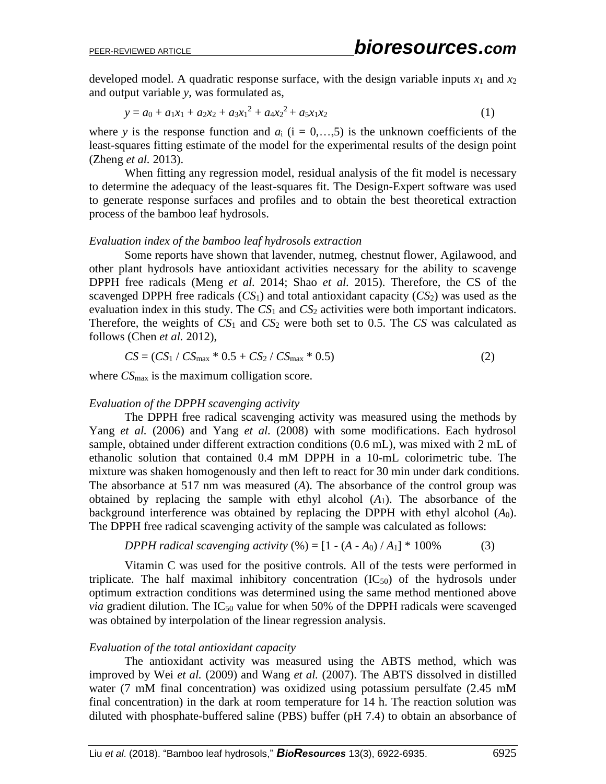developed model. A quadratic response surface, with the design variable inputs  $x_1$  and  $x_2$ and output variable *y*, was formulated as,

$$
y = a_0 + a_1x_1 + a_2x_2 + a_3x_1^2 + a_4x_2^2 + a_5x_1x_2 \tag{1}
$$

where *y* is the response function and  $a_i$  ( $i = 0,...,5$ ) is the unknown coefficients of the least-squares fitting estimate of the model for the experimental results of the design point (Zheng *et al.* 2013).

When fitting any regression model, residual analysis of the fit model is necessary to determine the adequacy of the least-squares fit. The Design-Expert software was used to generate response surfaces and profiles and to obtain the best theoretical extraction process of the bamboo leaf hydrosols.

#### *Evaluation index of the bamboo leaf hydrosols extraction*

Some reports have shown that lavender, nutmeg, chestnut flower, Agilawood, and other plant hydrosols have antioxidant activities necessary for the ability to scavenge DPPH free radicals (Meng *et al.* 2014; Shao *et al.* 2015). Therefore, the CS of the scavenged DPPH free radicals  $(CS_1)$  and total antioxidant capacity  $(CS_2)$  was used as the evaluation index in this study. The  $CS_1$  and  $CS_2$  activities were both important indicators. Therefore, the weights of  $CS_1$  and  $CS_2$  were both set to 0.5. The  $CS$  was calculated as follows (Chen *et al.* 2012),

$$
CS = (CS_1 / CS_{\text{max}} * 0.5 + CS_2 / CS_{\text{max}} * 0.5)
$$
 (2)

where  $CS<sub>max</sub>$  is the maximum colligation score.

### *Evaluation of the DPPH scavenging activity*

The DPPH free radical scavenging activity was measured using the methods by Yang *et al.* (2006) and Yang *et al.* (2008) with some modifications. Each hydrosol sample, obtained under different extraction conditions (0.6 mL), was mixed with 2 mL of ethanolic solution that contained 0.4 mM DPPH in a 10-mL colorimetric tube. The mixture was shaken homogenously and then left to react for 30 min under dark conditions. The absorbance at 517 nm was measured (*A*). The absorbance of the control group was obtained by replacing the sample with ethyl alcohol (*A*1). The absorbance of the background interference was obtained by replacing the DPPH with ethyl alcohol (*A*0). The DPPH free radical scavenging activity of the sample was calculated as follows:

*DPPH radical scanning activity* (%) = 
$$
[1 - (A - A_0) / A_1] * 100%
$$
 (3)

Vitamin C was used for the positive controls. All of the tests were performed in triplicate. The half maximal inhibitory concentration  $(IC_{50})$  of the hydrosols under optimum extraction conditions was determined using the same method mentioned above *via* gradient dilution. The  $IC_{50}$  value for when 50% of the DPPH radicals were scavenged was obtained by interpolation of the linear regression analysis.

#### *Evaluation of the total antioxidant capacity*

The antioxidant activity was measured using the ABTS method, which was improved by Wei *et al.* (2009) and Wang *et al.* (2007). The ABTS dissolved in distilled water (7 mM final concentration) was oxidized using potassium persulfate (2.45 mM final concentration) in the dark at room temperature for 14 h. The reaction solution was diluted with phosphate-buffered saline (PBS) buffer (pH 7.4) to obtain an absorbance of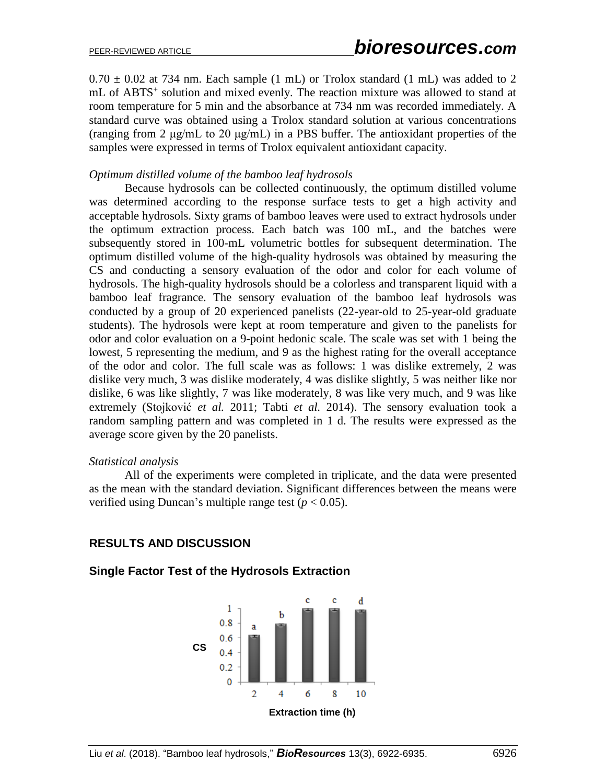$0.70 \pm 0.02$  at 734 nm. Each sample (1 mL) or Trolox standard (1 mL) was added to 2 mL of ABTS<sup>+</sup> solution and mixed evenly. The reaction mixture was allowed to stand at room temperature for 5 min and the absorbance at 734 nm was recorded immediately. A standard curve was obtained using a Trolox standard solution at various concentrations (ranging from 2 μg/mL to 20 μg/mL) in a PBS buffer. The antioxidant properties of the samples were expressed in terms of Trolox equivalent antioxidant capacity.

### *Optimum distilled volume of the bamboo leaf hydrosols*

Because hydrosols can be collected continuously, the optimum distilled volume was determined according to the response surface tests to get a high activity and acceptable hydrosols. Sixty grams of bamboo leaves were used to extract hydrosols under the optimum extraction process. Each batch was 100 mL, and the batches were subsequently stored in 100-mL volumetric bottles for subsequent determination. The optimum distilled volume of the high-quality hydrosols was obtained by measuring the CS and conducting a sensory evaluation of the odor and color for each volume of hydrosols. The high-quality hydrosols should be a colorless and transparent liquid with a bamboo leaf fragrance. The sensory evaluation of the bamboo leaf hydrosols was conducted by a group of 20 experienced panelists (22-year-old to 25-year-old graduate students). The hydrosols were kept at room temperature and given to the panelists for odor and color evaluation on a 9-point hedonic scale. The scale was set with 1 being the lowest, 5 representing the medium, and 9 as the highest rating for the overall acceptance of the odor and color. The full scale was as follows: 1 was dislike extremely, 2 was dislike very much, 3 was dislike moderately, 4 was dislike slightly, 5 was neither like nor dislike, 6 was like slightly, 7 was like moderately, 8 was like very much, and 9 was like extremely (Stojković *et al.* 2011; Tabti *et al.* 2014). The sensory evaluation took a random sampling pattern and was completed in 1 d. The results were expressed as the average score given by the 20 panelists.

#### *Statistical analysis*

All of the experiments were completed in triplicate, and the data were presented as the mean with the standard deviation. Significant differences between the means were verified using Duncan's multiple range test  $(p < 0.05)$ .

# **RESULTS AND DISCUSSION**

### **Single Factor Test of the Hydrosols Extraction**

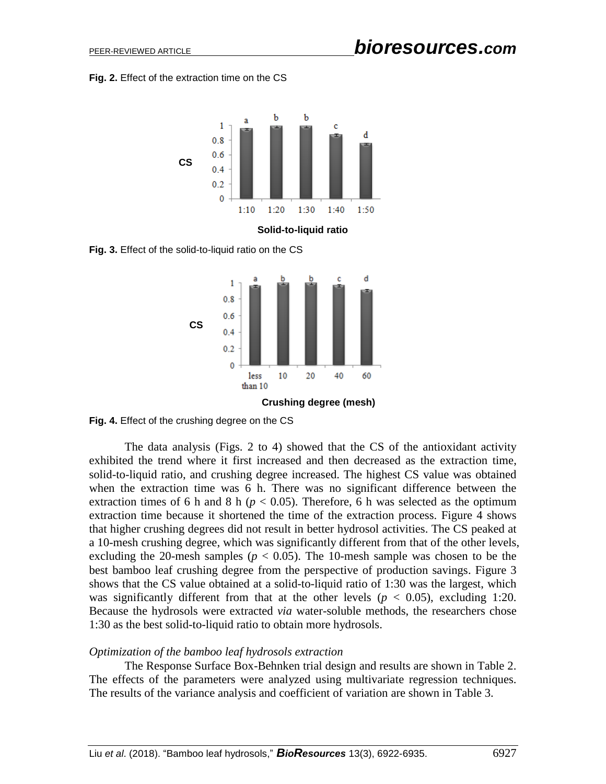**Fig. 2.** Effect of the extraction time on the CS



**Fig. 3.** Effect of the solid-to-liquid ratio on the CS



**Fig. 4.** Effect of the crushing degree on the CS

The data analysis (Figs. 2 to 4) showed that the CS of the antioxidant activity exhibited the trend where it first increased and then decreased as the extraction time, solid-to-liquid ratio, and crushing degree increased. The highest CS value was obtained when the extraction time was 6 h. There was no significant difference between the extraction times of 6 h and 8 h ( $p < 0.05$ ). Therefore, 6 h was selected as the optimum extraction time because it shortened the time of the extraction process. Figure 4 shows that higher crushing degrees did not result in better hydrosol activities. The CS peaked at a 10-mesh crushing degree, which was significantly different from that of the other levels, excluding the 20-mesh samples ( $p < 0.05$ ). The 10-mesh sample was chosen to be the best bamboo leaf crushing degree from the perspective of production savings. Figure 3 shows that the CS value obtained at a solid-to-liquid ratio of 1:30 was the largest, which was significantly different from that at the other levels ( $p < 0.05$ ), excluding 1:20. Because the hydrosols were extracted *via* water-soluble methods, the researchers chose 1:30 as the best solid-to-liquid ratio to obtain more hydrosols.

### *Optimization of the bamboo leaf hydrosols extraction*

The Response Surface Box-Behnken trial design and results are shown in Table 2. The effects of the parameters were analyzed using multivariate regression techniques. The results of the variance analysis and coefficient of variation are shown in Table 3.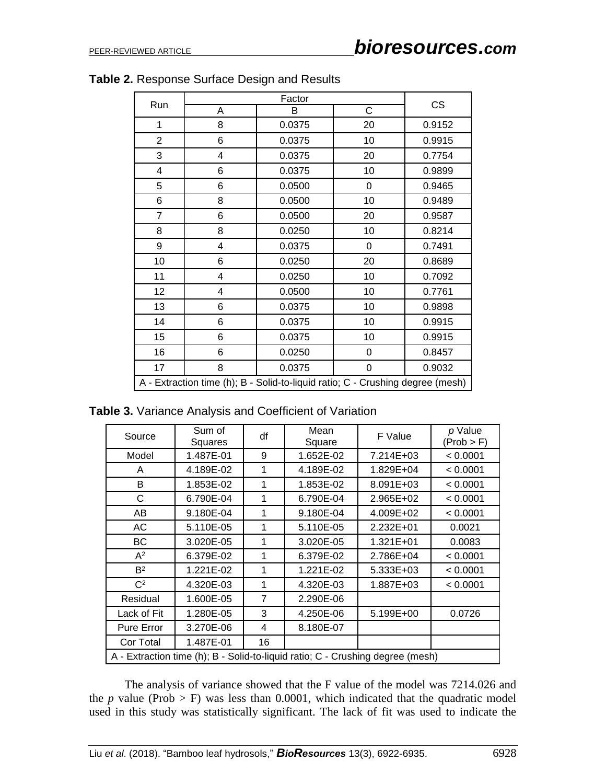| Factor<br>Run                                                                  |   |        | <b>CS</b> |        |
|--------------------------------------------------------------------------------|---|--------|-----------|--------|
|                                                                                | Α | В      | C         |        |
| 1                                                                              | 8 | 0.0375 | 20        | 0.9152 |
| $\overline{2}$                                                                 | 6 | 0.0375 | 10        | 0.9915 |
| 3                                                                              | 4 | 0.0375 | 20        | 0.7754 |
| $\overline{4}$                                                                 | 6 | 0.0375 | 10        | 0.9899 |
| 5                                                                              | 6 | 0.0500 | 0         | 0.9465 |
| 6                                                                              | 8 | 0.0500 | 10        | 0.9489 |
| $\overline{7}$                                                                 | 6 | 0.0500 | 20        | 0.9587 |
| 8                                                                              | 8 | 0.0250 | 10        | 0.8214 |
| 9                                                                              | 4 | 0.0375 | 0         | 0.7491 |
| 10                                                                             | 6 | 0.0250 | 20        | 0.8689 |
| 11                                                                             | 4 | 0.0250 | 10        | 0.7092 |
| 12                                                                             | 4 | 0.0500 | 10        | 0.7761 |
| 13                                                                             | 6 | 0.0375 | 10        | 0.9898 |
| 14                                                                             | 6 | 0.0375 | 10        | 0.9915 |
| 15                                                                             | 6 | 0.0375 | 10        | 0.9915 |
| 16                                                                             | 6 | 0.0250 | 0         | 0.8457 |
| 17                                                                             | 8 | 0.0375 | 0         | 0.9032 |
| A - Extraction time (h); B - Solid-to-liquid ratio; C - Crushing degree (mesh) |   |        |           |        |

|  | Table 2. Response Surface Design and Results |  |  |  |  |
|--|----------------------------------------------|--|--|--|--|
|--|----------------------------------------------|--|--|--|--|

**Table 3.** Variance Analysis and Coefficient of Variation

| Source                                                                         | Sum of<br>Squares | df             | Mean<br>Square | F Value   | p Value<br>(Prob > F) |
|--------------------------------------------------------------------------------|-------------------|----------------|----------------|-----------|-----------------------|
| Model                                                                          | 1.487E-01         | 9              | 1.652E-02      | 7.214E+03 | < 0.0001              |
| A                                                                              | 4.189E-02         | 1              | 4.189E-02      | 1.829E+04 | < 0.0001              |
| B                                                                              | 1.853E-02         | 1              | 1.853E-02      | 8.091E+03 | < 0.0001              |
| C                                                                              | 6.790E-04         | 1              | 6.790E-04      | 2.965E+02 | < 0.0001              |
| AB                                                                             | 9.180E-04         | 1              | 9.180E-04      | 4.009E+02 | < 0.0001              |
| AC                                                                             | 5.110E-05         | 1              | 5.110E-05      | 2.232E+01 | 0.0021                |
| BС                                                                             | 3.020E-05         | 1              | 3.020E-05      | 1.321E+01 | 0.0083                |
| $A^2$                                                                          | 6.379E-02         | 1              | 6.379E-02      | 2.786E+04 | < 0.0001              |
| B <sup>2</sup>                                                                 | 1.221E-02         | 1              | 1.221E-02      | 5.333E+03 | < 0.0001              |
| C <sup>2</sup>                                                                 | 4.320E-03         | 1              | 4.320E-03      | 1.887E+03 | < 0.0001              |
| Residual                                                                       | 1.600E-05         | $\overline{7}$ | 2.290E-06      |           |                       |
| Lack of Fit                                                                    | 1.280E-05         | 3              | 4.250E-06      | 5.199E+00 | 0.0726                |
| Pure Error                                                                     | 3.270E-06         | 4              | 8.180E-07      |           |                       |
| Cor Total                                                                      | 1.487E-01         | 16             |                |           |                       |
| A - Extraction time (h); B - Solid-to-liquid ratio; C - Crushing degree (mesh) |                   |                |                |           |                       |

The analysis of variance showed that the F value of the model was 7214.026 and the *p* value (Prob  $>$  F) was less than 0.0001, which indicated that the quadratic model used in this study was statistically significant. The lack of fit was used to indicate the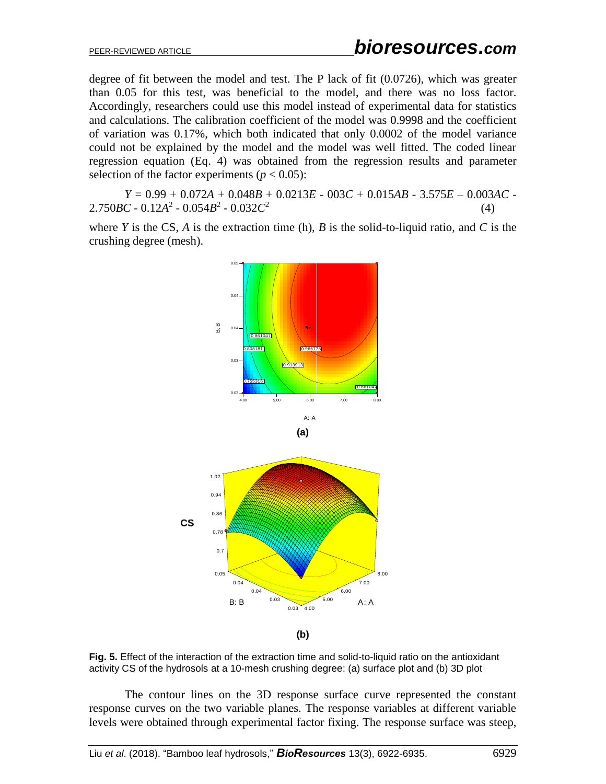degree of fit between the model and test. The P lack of fit (0.0726), which was greater than 0.05 for this test, was beneficial to the model, and there was no loss factor. Accordingly, researchers could use this model instead of experimental data for statistics and calculations. The calibration coefficient of the model was 0.9998 and the coefficient of variation was 0.17%, which both indicated that only 0.0002 of the model variance could not be explained by the model and the model was well fitted. The coded linear regression equation (Eq. 4) was obtained from the regression results and parameter selection of the factor experiments ( $p < 0.05$ ):

*Y* = 0.99 + 0.072*A* + 0.048*B* + 0.0213*E* - 003*C* + 0.015*AB* - 3.575*E* – 0.003*AC* -  $2.750BC - 0.12A^2 - 0.054B^2 - 0.032C^2$ (4)

where *Y* is the CS, *A* is the extraction time (h), *B* is the solid-to-liquid ratio, and *C* is the crushing degree (mesh).



**Fig. 5.** Effect of the interaction of the extraction time and solid-to-liquid ratio on the antioxidant activity CS of the hydrosols at a 10-mesh crushing degree: (a) surface plot and (b) 3D plot

The contour lines on the 3D response surface curve represented the constant response curves on the two variable planes. The response variables at different variable levels were obtained through experimental factor fixing. The response surface was steep,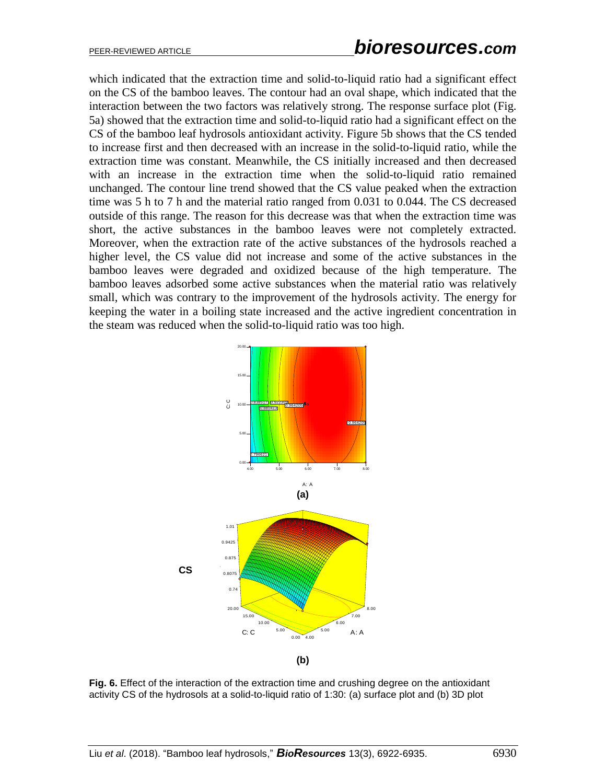which indicated that the extraction time and solid-to-liquid ratio had a significant effect on the CS of the bamboo leaves. The contour had an oval shape, which indicated that the interaction between the two factors was relatively strong. The response surface plot (Fig. 5a) showed that the extraction time and solid-to-liquid ratio had a significant effect on the CS of the bamboo leaf hydrosols antioxidant activity. Figure 5b shows that the CS tended to increase first and then decreased with an increase in the solid-to-liquid ratio, while the extraction time was constant. Meanwhile, the CS initially increased and then decreased with an increase in the extraction time when the solid-to-liquid ratio remained unchanged. The contour line trend showed that the CS value peaked when the extraction time was 5 h to 7 h and the material ratio ranged from 0.031 to 0.044. The CS decreased outside of this range. The reason for this decrease was that when the extraction time was short, the active substances in the bamboo leaves were not completely extracted. Moreover, when the extraction rate of the active substances of the hydrosols reached a higher level, the CS value did not increase and some of the active substances in the bamboo leaves were degraded and oxidized because of the high temperature. The bamboo leaves adsorbed some active substances when the material ratio was relatively small, which was contrary to the improvement of the hydrosols activity. The energy for keeping the water in a boiling state increased and the active ingredient concentration in the steam was reduced when the solid-to-liquid ratio was too high.



**Fig. 6.** Effect of the interaction of the extraction time and crushing degree on the antioxidant activity CS of the hydrosols at a solid-to-liquid ratio of 1:30: (a) surface plot and (b) 3D plot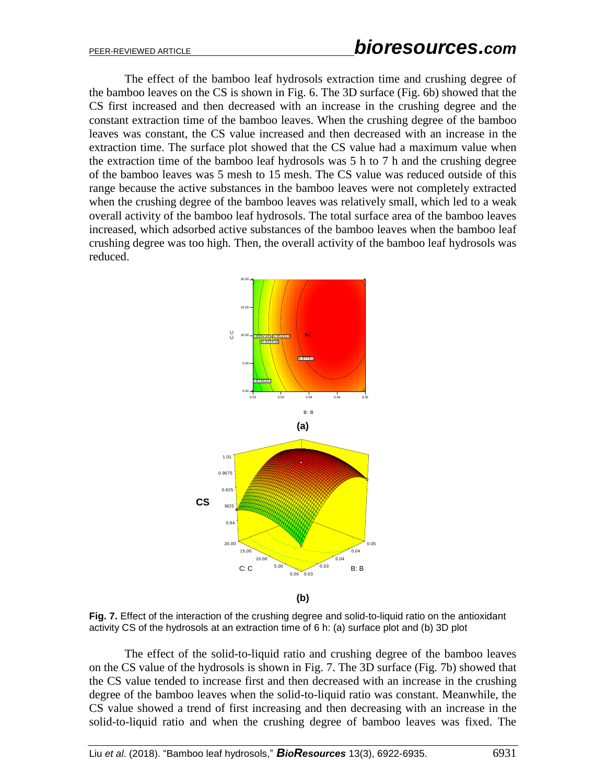The effect of the bamboo leaf hydrosols extraction time and crushing degree of the bamboo leaves on the CS is shown in Fig. 6. The 3D surface (Fig. 6b) showed that the CS first increased and then decreased with an increase in the crushing degree and the constant extraction time of the bamboo leaves. When the crushing degree of the bamboo leaves was constant, the CS value increased and then decreased with an increase in the extraction time. The surface plot showed that the CS value had a maximum value when the extraction time of the bamboo leaf hydrosols was 5 h to 7 h and the crushing degree of the bamboo leaves was 5 mesh to 15 mesh. The CS value was reduced outside of this range because the active substances in the bamboo leaves were not completely extracted when the crushing degree of the bamboo leaves was relatively small, which led to a weak overall activity of the bamboo leaf hydrosols. The total surface area of the bamboo leaves increased, which adsorbed active substances of the bamboo leaves when the bamboo leaf crushing degree was too high. Then, the overall activity of the bamboo leaf hydrosols was reduced.



**Fig. 7.** Effect of the interaction of the crushing degree and solid-to-liquid ratio on the antioxidant activity CS of the hydrosols at an extraction time of 6 h: (a) surface plot and (b) 3D plot

The effect of the solid-to-liquid ratio and crushing degree of the bamboo leaves on the CS value of the hydrosols is shown in Fig. 7. The 3D surface (Fig. 7b) showed that the CS value tended to increase first and then decreased with an increase in the crushing degree of the bamboo leaves when the solid-to-liquid ratio was constant. Meanwhile, the CS value showed a trend of first increasing and then decreasing with an increase in the solid-to-liquid ratio and when the crushing degree of bamboo leaves was fixed. The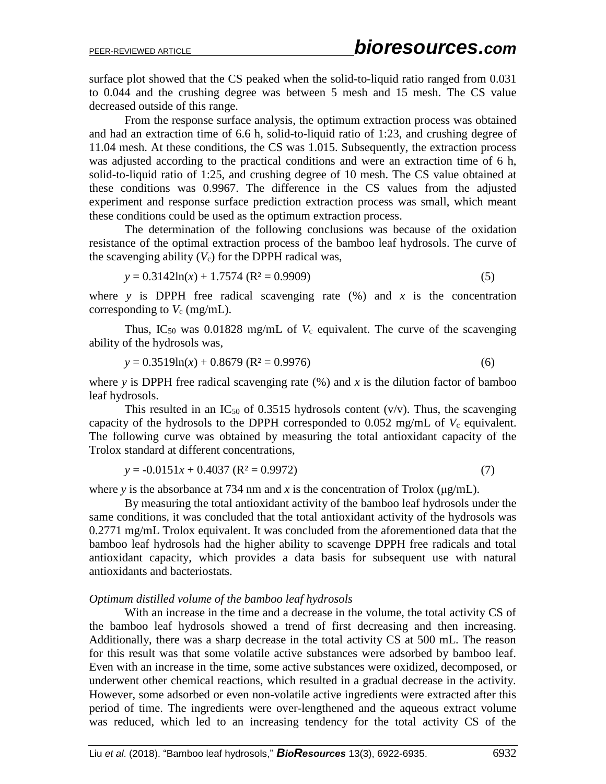surface plot showed that the CS peaked when the solid-to-liquid ratio ranged from 0.031 to 0.044 and the crushing degree was between 5 mesh and 15 mesh. The CS value decreased outside of this range.

From the response surface analysis, the optimum extraction process was obtained and had an extraction time of 6.6 h, solid-to-liquid ratio of 1:23, and crushing degree of 11.04 mesh. At these conditions, the CS was 1.015. Subsequently, the extraction process was adjusted according to the practical conditions and were an extraction time of 6 h, solid-to-liquid ratio of 1:25, and crushing degree of 10 mesh. The CS value obtained at these conditions was 0.9967. The difference in the CS values from the adjusted experiment and response surface prediction extraction process was small, which meant these conditions could be used as the optimum extraction process.

The determination of the following conclusions was because of the oxidation resistance of the optimal extraction process of the bamboo leaf hydrosols. The curve of the scavenging ability  $(V_c)$  for the DPPH radical was,

$$
y = 0.3142\ln(x) + 1.7574 \text{ (R}^2 = 0.9909)
$$
 (5)

where *y* is DPPH free radical scavenging rate  $(\%)$  and *x* is the concentration corresponding to  $V_c$  (mg/mL).

Thus, IC<sub>50</sub> was 0.01828 mg/mL of  $V_c$  equivalent. The curve of the scavenging ability of the hydrosols was,

$$
y = 0.3519 \ln(x) + 0.8679 \text{ (R}^2 = 0.9976) \tag{6}
$$

where *y* is DPPH free radical scavenging rate  $(\%)$  and *x* is the dilution factor of bamboo leaf hydrosols.

This resulted in an IC<sub>50</sub> of 0.3515 hydrosols content (v/v). Thus, the scavenging capacity of the hydrosols to the DPPH corresponded to  $0.052$  mg/mL of  $V_c$  equivalent. The following curve was obtained by measuring the total antioxidant capacity of the Trolox standard at different concentrations,

$$
y = -0.0151x + 0.4037 \text{ (R}^2 = 0.9972) \tag{7}
$$

where *y* is the absorbance at 734 nm and *x* is the concentration of Trolox ( $\mu$ g/mL).

By measuring the total antioxidant activity of the bamboo leaf hydrosols under the same conditions, it was concluded that the total antioxidant activity of the hydrosols was 0.2771 mg/mL Trolox equivalent. It was concluded from the aforementioned data that the bamboo leaf hydrosols had the higher ability to scavenge DPPH free radicals and total antioxidant capacity, which provides a data basis for subsequent use with natural antioxidants and bacteriostats.

# *Optimum distilled volume of the bamboo leaf hydrosols*

With an increase in the time and a decrease in the volume, the total activity CS of the bamboo leaf hydrosols showed a trend of first decreasing and then increasing. Additionally, there was a sharp decrease in the total activity CS at 500 mL. The reason for this result was that some volatile active substances were adsorbed by bamboo leaf. Even with an increase in the time, some active substances were oxidized, decomposed, or underwent other chemical reactions, which resulted in a gradual decrease in the activity. However, some adsorbed or even non-volatile active ingredients were extracted after this period of time. The ingredients were over-lengthened and the aqueous extract volume was reduced, which led to an increasing tendency for the total activity CS of the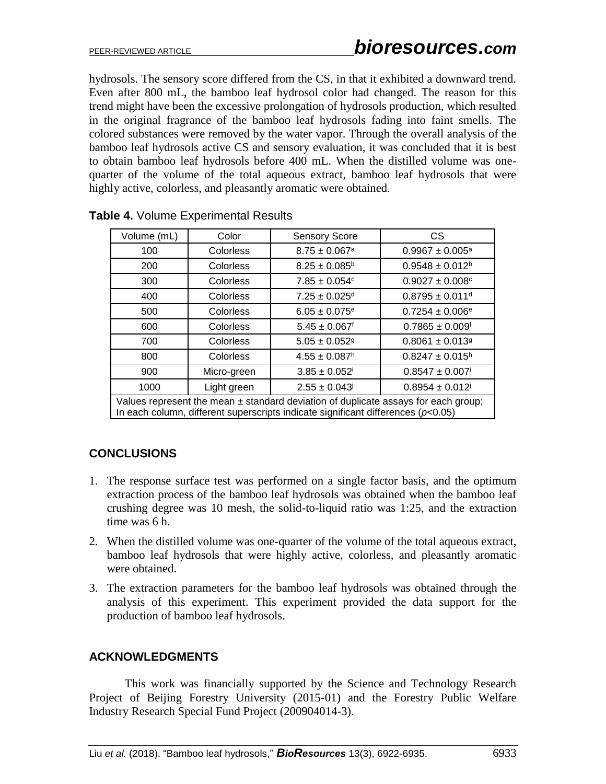hydrosols. The sensory score differed from the CS, in that it exhibited a downward trend. Even after 800 mL, the bamboo leaf hydrosol color had changed. The reason for this trend might have been the excessive prolongation of hydrosols production, which resulted in the original fragrance of the bamboo leaf hydrosols fading into faint smells. The colored substances were removed by the water vapor. Through the overall analysis of the bamboo leaf hydrosols active CS and sensory evaluation, it was concluded that it is best to obtain bamboo leaf hydrosols before 400 mL. When the distilled volume was onequarter of the volume of the total aqueous extract, bamboo leaf hydrosols that were highly active, colorless, and pleasantly aromatic were obtained.

| Volume (mL)                                                                                                                                                                    | Color            | <b>Sensory Score</b>          | <b>CS</b>                       |  |
|--------------------------------------------------------------------------------------------------------------------------------------------------------------------------------|------------------|-------------------------------|---------------------------------|--|
| 100                                                                                                                                                                            | <b>Colorless</b> | $8.75 \pm 0.067$ <sup>a</sup> | $0.9967 \pm 0.005^a$            |  |
| 200                                                                                                                                                                            | Colorless        | $8.25 \pm 0.085^{\circ}$      | $0.9548 \pm 0.012^b$            |  |
| 300                                                                                                                                                                            | <b>Colorless</b> | $7.85 \pm 0.054$ <sup>c</sup> | $0.9027 \pm 0.008$ <sup>c</sup> |  |
| 400                                                                                                                                                                            | Colorless        | $7.25 \pm 0.025$ <sup>d</sup> | $0.8795 \pm 0.011$ <sup>d</sup> |  |
| 500                                                                                                                                                                            | Colorless        | $6.05 \pm 0.075$ <sup>e</sup> | $0.7254 \pm 0.006$ <sup>e</sup> |  |
| 600                                                                                                                                                                            | <b>Colorless</b> | $5.45 \pm 0.067$ <sup>f</sup> | $0.7865 \pm 0.009$ <sup>f</sup> |  |
| 700                                                                                                                                                                            | Colorless        | $5.05 \pm 0.052$ <sup>g</sup> | $0.8061 \pm 0.0139$             |  |
| 800                                                                                                                                                                            | Colorless        | $4.55 \pm 0.087$ <sup>h</sup> | $0.8247 \pm 0.015^h$            |  |
| 900                                                                                                                                                                            | Micro-green      | $3.85 \pm 0.052$ <sup>i</sup> | $0.8547 \pm 0.007$ <sup>i</sup> |  |
| 1000                                                                                                                                                                           | Light green      | $2.55 \pm 0.043$              | $0.8954 \pm 0.012$              |  |
| Values represent the mean $\pm$ standard deviation of duplicate assays for each group;<br>In each column, different superscripts indicate significant differences ( $p<0.05$ ) |                  |                               |                                 |  |

|  | Table 4. Volume Experimental Results |
|--|--------------------------------------|
|--|--------------------------------------|

# **CONCLUSIONS**

- 1. The response surface test was performed on a single factor basis, and the optimum extraction process of the bamboo leaf hydrosols was obtained when the bamboo leaf crushing degree was 10 mesh, the solid-to-liquid ratio was 1:25, and the extraction time was 6 h.
- 2. When the distilled volume was one-quarter of the volume of the total aqueous extract, bamboo leaf hydrosols that were highly active, colorless, and pleasantly aromatic were obtained.
- 3. The extraction parameters for the bamboo leaf hydrosols was obtained through the analysis of this experiment. This experiment provided the data support for the production of bamboo leaf hydrosols.

# **ACKNOWLEDGMENTS**

This work was financially supported by the Science and Technology Research Project of Beijing Forestry University (2015-01) and the Forestry Public Welfare Industry Research Special Fund Project (200904014-3).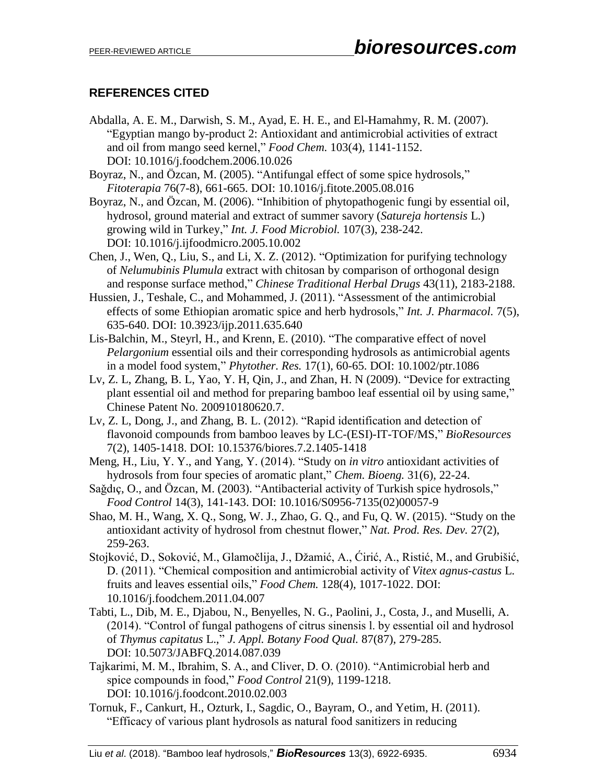# **REFERENCES CITED**

- Abdalla, A. E. M., Darwish, S. M., Ayad, E. H. E., and El-Hamahmy, R. M. (2007). "Egyptian mango by-product 2: Antioxidant and antimicrobial activities of extract and oil from mango seed kernel," *Food Chem.* 103(4), 1141-1152. DOI: 10.1016/j.foodchem.2006.10.026
- Boyraz, N., and Özcan, M. (2005). "Antifungal effect of some spice hydrosols," *Fitoterapia* 76(7-8), 661-665. DOI: 10.1016/j.fitote.2005.08.016
- Boyraz, N., and Özcan, M. (2006). "Inhibition of phytopathogenic fungi by essential oil, hydrosol, ground material and extract of summer savory (*Satureja hortensis* L.) growing wild in Turkey," *Int. J. Food Microbiol.* 107(3), 238-242. DOI: 10.1016/j.ijfoodmicro.2005.10.002
- Chen, J., Wen, Q., Liu, S., and Li, X. Z. (2012). "Optimization for purifying technology of *Nelumubinis Plumula* extract with chitosan by comparison of orthogonal design and response surface method," *Chinese Traditional Herbal Drugs* 43(11), 2183-2188.
- Hussien, J., Teshale, C., and Mohammed, J. (2011). "Assessment of the antimicrobial effects of some Ethiopian aromatic spice and herb hydrosols," *Int. J. Pharmacol.* 7(5), 635-640. DOI: 10.3923/ijp.2011.635.640
- Lis-Balchin, M., Steyrl, H., and Krenn, E. (2010). "The comparative effect of novel *Pelargonium* essential oils and their corresponding hydrosols as antimicrobial agents in a model food system," *Phytother. Res.* 17(1), 60-65. DOI: 10.1002/ptr.1086
- Lv, Z. L, Zhang, B. L, Yao, Y. H, Qin, J., and Zhan, H. N (2009). "Device for extracting plant essential oil and method for preparing bamboo leaf essential oil by using same," Chinese Patent No. 200910180620.7.
- Lv, Z. L, Dong, J., and Zhang, B. L. (2012). "Rapid identification and detection of flavonoid compounds from bamboo leaves by LC-(ESI)-IT-TOF/MS," *BioResources* 7(2), 1405-1418. DOI: 10.15376/biores.7.2.1405-1418
- Meng, H., Liu, Y. Y., and Yang, Y. (2014). "Study on *in vitro* antioxidant activities of hydrosols from four species of aromatic plant," *Chem. Bioeng.* 31(6), 22-24.
- Saǧdıç, O., and Özcan, M. (2003). "Antibacterial activity of Turkish spice hydrosols," *Food Control* 14(3), 141-143. DOI: 10.1016/S0956-7135(02)00057-9
- Shao, M. H., Wang, X. Q., Song, W. J., Zhao, G. Q., and Fu, Q. W. (2015). "Study on the antioxidant activity of hydrosol from chestnut flower," *Nat. Prod. Res. Dev.* 27(2), 259-263.
- Stojković, D., Soković, M., Glamočlija, J., Džamić, A., Ćirić, A., Ristić, M., and Grubišić, D. (2011). "Chemical composition and antimicrobial activity of *Vitex agnus-castus* L. fruits and leaves essential oils," *Food Chem.* 128(4), 1017-1022. DOI: 10.1016/j.foodchem.2011.04.007
- Tabti, L., Dib, M. E., Djabou, N., Benyelles, N. G., Paolini, J., Costa, J., and Muselli, A. (2014). "Control of fungal pathogens of citrus sinensis l. by essential oil and hydrosol of *Thymus capitatus* L.," *J. Appl. Botany Food Qual.* 87(87), 279-285. DOI: 10.5073/JABFQ.2014.087.039
- Tajkarimi, M. M., Ibrahim, S. A., and Cliver, D. O. (2010). "Antimicrobial herb and spice compounds in food," *Food Control* 21(9), 1199-1218. DOI: 10.1016/j.foodcont.2010.02.003
- Tornuk, F., Cankurt, H., Ozturk, I., Sagdic, O., Bayram, O., and Yetim, H. (2011). "Efficacy of various plant hydrosols as natural food sanitizers in reducing